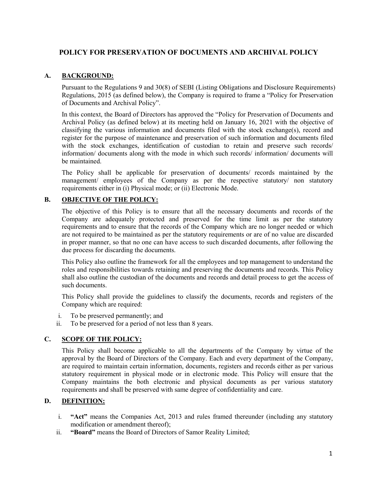# **POLICY FOR PRESERVATION OF DOCUMENTS AND ARCHIVAL POLICY**

# **A. BACKGROUND:**

Pursuant to the Regulations 9 and 30(8) of SEBI (Listing Obligations and Disclosure Requirements) Regulations, 2015 (as defined below), the Company is required to frame a "Policy for Preservation of Documents and Archival Policy".

In this context, the Board of Directors has approved the "Policy for Preservation of Documents and Archival Policy (as defined below) at its meeting held on January 16, 2021 with the objective of classifying the various information and documents filed with the stock exchange(s), record and register for the purpose of maintenance and preservation of such information and documents filed with the stock exchanges, identification of custodian to retain and preserve such records/ information/ documents along with the mode in which such records/ information/ documents will be maintained.

The Policy shall be applicable for preservation of documents/ records maintained by the management/ employees of the Company as per the respective statutory/ non statutory requirements either in (i) Physical mode; or (ii) Electronic Mode.

# **B. OBJECTIVE OF THE POLICY:**

The objective of this Policy is to ensure that all the necessary documents and records of the Company are adequately protected and preserved for the time limit as per the statutory requirements and to ensure that the records of the Company which are no longer needed or which are not required to be maintained as per the statutory requirements or are of no value are discarded in proper manner, so that no one can have access to such discarded documents, after following the due process for discarding the documents.

This Policy also outline the framework for all the employees and top management to understand the roles and responsibilities towards retaining and preserving the documents and records. This Policy shall also outline the custodian of the documents and records and detail process to get the access of such documents.<br>This Policy shall provide the guidelines to classify the documents, records and registers of the

Company which are required:

- i. To be preserved permanently; and
- ii. To be preserved for a period of not less than 8 years.

### **C. SCOPE OF THE POLICY:**

This Policy shall become applicable to all the departments of the Company by virtue of the approval by the Board of Directors of the Company. Each and every department of the Company, are required to maintain certain information, documents, registers and records either as per various statutory requirement in physical mode or in electronic mode. This Policy will ensure that the Company maintains the both electronic and physical documents as per various statutory requirements and shall be preserved with same degree of confidentiality and care.

# **D. DEFINITION:**

- i. **"Act"** means the Companies Act, 2013 and rules framed thereunder (including any statutory modification or amendment thereof);
- ii. **"Board"** means the Board of Directors of Samor Reality Limited;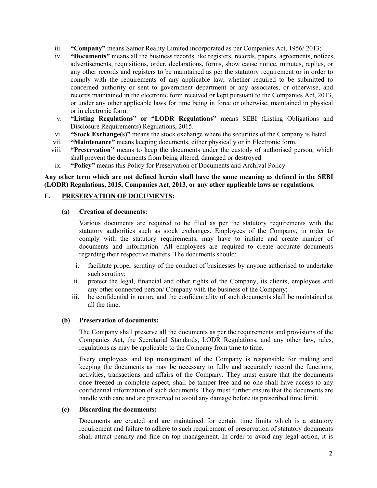- iii. **"Company"** means Samor Reality Limited incorporated as per Companies Act, 1956/ 2013;
- iv. **"Documents"** means all the business records like registers, records, papers, agreements, notices, advertisements, requisitions, order, declarations, forms, show cause notice, minutes, replies, or any other records and registers to be maintained as per the statutory requirement or in order to comply with the requirements of any applicable law, whether required to be submitted to concerned authority or sent to government department or any associates, or otherwise, and records maintained in the electronic form received or kept pursuant to the Companies Act, 2013, or under any other applicable laws for time being in force or otherwise, maintained in physical or in electronic form.
- v. **"Listing Regulations" or "LODR Regulations"** means SEBI (Listing Obligations and Disclosure Requirements) Regulations, 2015.
- vi. **"Stock Exchange(s)"** means the stock exchange where the securities of the Company is listed.<br>vii. **"Maintenance"** means keeping documents, either physically or in Electronic form.
- 
- viii. **"Preservation"** means to keep the documents under the custody of authorised person, which shall prevent the documents from being altered, damaged or destroyed.
- ix. **"Policy"** means this Policy for Preservation of Documents and Archival Policy

#### **Any other term which are not defined herein shallhave the same meaning as defined in the SEBI (LODR) Regulations, 2015, Companies Act, 2013, or any other applicable laws or regulations.**

#### **E. PRESERVATION OF DOCUMENTS:**

#### **(a) Creation of documents:**

Various documents are required to be filed as per the statutory requirements with the statutory authorities such as stock exchanges. Employees of the Company, in order to comply with the statutory requirements, may have to initiate and create number of documents and information. All employees are required to create accurate documents regarding their respective matters. The documents should:

- i. facilitate proper scrutiny of the conduct of businesses by anyone authorised to undertake such scrutiny;
- ii. protect the legal, financial and other rights of the Company, its clients, employees and any other connected person/ Company with the business of the Company;
- iii. be confidential in nature and the confidentiality of such documents shall be maintained at all the time.

#### **(b) Preservation of documents:**

The Company shall preserve all the documents as per the requirements and provisions of the Companies Act, the Secretarial Standards, LODR Regulations, and any other law, rules, regulations as may be applicable to the Company from time to time.

Every employees and top management of the Company is responsible for making and keeping the documents as may be necessary to fully and accurately record the functions, activities, transactions and affairs of the Company. They must ensure that the documents once freezed in complete aspect, shall be tamper-free and no one shall have access to any confidential information of such documents. They must further ensure that the documents are handle with care and are preserved to avoid any damage before its prescribed time limit.

#### **(c) Discarding the documents:**

Documents are created and are maintained for certain time limits which is a statutory requirement and failure to adhere to such requirement of preservation of statutory documents shall attract penalty and fine on top management. In order to avoid any legal action, it is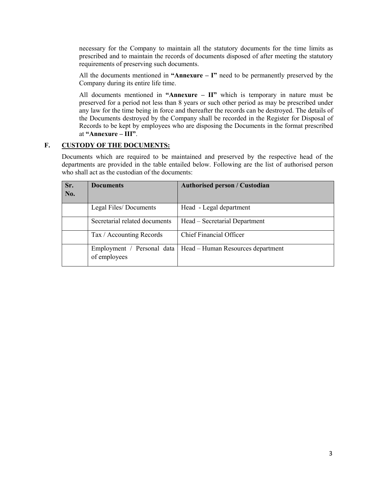necessary for the Company to maintain all the statutory documents for the time limits as prescribed and to maintain the records of documents disposed of after meeting the statutory requirements of preserving such documents.

All the documents mentioned in **"Annexure – I"** need to be permanently preserved by the Company during its entire life time.

All documents mentioned in **"Annexure – II"** which is temporary in nature must be preserved for a period not less than 8 years orsuch other period as may be prescribed under any law for the time being in force and thereafter the records can be destroyed. The details of the Documents destroyed by the Company shall be recorded in the Register for Disposal of Records to be kept by employees who are disposing the Documents in the format prescribed at **"Annexure – III"**.

### **F. CUSTODY OF THE DOCUMENTS:**

Documents which are required to be maintained and preserved by the respective head of the departments are provided in the table entailed below. Following are the list of authorised person who shall act as the custodian of the documents:

| Sr.<br>No. | <b>Documents</b>              | <b>Authorised person / Custodian</b>                           |
|------------|-------------------------------|----------------------------------------------------------------|
|            | Legal Files/Documents         | Head - Legal department                                        |
|            | Secretarial related documents | Head – Secretarial Department                                  |
|            | Tax / Accounting Records      | Chief Financial Officer                                        |
|            | of employees                  | Employment / Personal data   Head – Human Resources department |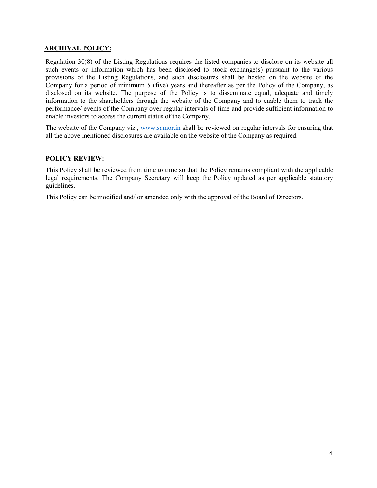### **ARCHIVAL POLICY:**

Regulation 30(8) of the Listing Regulations requires the listed companies to disclose on its website all such events or information which has been disclosed to stock exchange(s) pursuant to the various provisions of the Listing Regulations, and such disclosures shall be hosted on the website of the Company for a period of minimum 5 (five) years and thereafter as per the Policy of the Company, as disclosed on its website. The purpose of the Policy is to disseminate equal, adequate and timely information to the shareholders through the website of the Company and to enable them to track the performance/ events of the Company over regular intervals of time and provide sufficient information to enable investors to access the current status of the Company.

The website of the Company viz., [www.samor.in](http://www.samor.in) shall be reviewed on regular intervals for ensuring that all the above mentioned disclosures are available on the website of the Company as required.

#### **POLICY REVIEW:**

This Policy shall be reviewed from time to time so that the Policy remains compliant with the applicable legal requirements. The Company Secretary will keep the Policy updated as per applicable statutory guidelines.

This Policy can be modified and/ or amended only with the approval of the Board of Directors.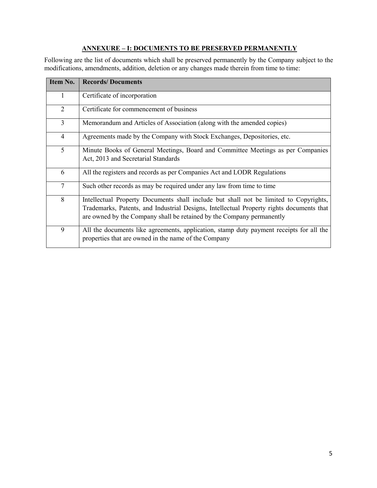# **ANNEXURE – I: DOCUMENTS TO BE PRESERVED PERMANENTLY**

Following are the list of documents which shall be preserved permanently by the Company subject to the modifications, amendments, addition, deletion or any changes made therein from time to time:

| Item No.       | <b>Records/Documents</b>                                                                                                                                                                                                                                   |  |  |  |
|----------------|------------------------------------------------------------------------------------------------------------------------------------------------------------------------------------------------------------------------------------------------------------|--|--|--|
| 1              | Certificate of incorporation                                                                                                                                                                                                                               |  |  |  |
| $\overline{2}$ | Certificate for commencement of business                                                                                                                                                                                                                   |  |  |  |
| $\overline{3}$ | Memorandum and Articles of Association (along with the amended copies)                                                                                                                                                                                     |  |  |  |
| $\overline{4}$ | Agreements made by the Company with Stock Exchanges, Depositories, etc.                                                                                                                                                                                    |  |  |  |
| 5 <sup>1</sup> | Minute Books of General Meetings, Board and Committee Meetings as per Companies<br>Act, 2013 and Secretarial Standards                                                                                                                                     |  |  |  |
| 6              | All the registers and records as per Companies Act and LODR Regulations                                                                                                                                                                                    |  |  |  |
| $\overline{7}$ | Such other records as may be required under any law from time to time                                                                                                                                                                                      |  |  |  |
| 8              | Intellectual Property Documents shall include but shall not be limited to Copyrights,<br>Trademarks, Patents, and Industrial Designs, Intellectual Property rights documents that<br>are owned by the Company shall be retained by the Company permanently |  |  |  |
| 9              | All the documents like agreements, application, stamp duty payment receipts for all the<br>properties that are owned in the name of the Company                                                                                                            |  |  |  |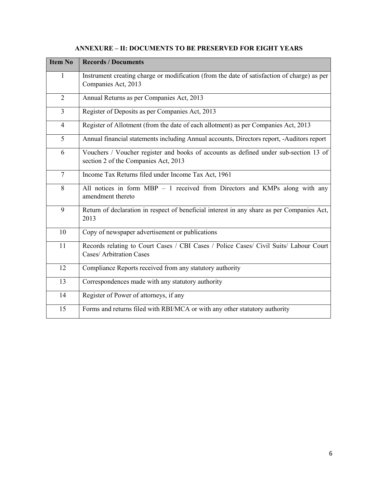| <b>Item No</b> | <b>Records / Documents</b>                                                                                                   |  |  |  |  |
|----------------|------------------------------------------------------------------------------------------------------------------------------|--|--|--|--|
| 1              | Instrument creating charge or modification (from the date of satisfaction of charge) as per<br>Companies Act, 2013           |  |  |  |  |
| $\overline{2}$ | Annual Returns as per Companies Act, 2013                                                                                    |  |  |  |  |
| $\overline{3}$ | Register of Deposits as per Companies Act, 2013                                                                              |  |  |  |  |
| $\overline{4}$ | Register of Allotment (from the date of each allotment) as per Companies Act, 2013                                           |  |  |  |  |
| 5              | Annual financial statements including Annual accounts, Directors report, -Auditors report                                    |  |  |  |  |
| 6              | Vouchers / Voucher register and books of accounts as defined under sub-section 13 of<br>section 2 of the Companies Act, 2013 |  |  |  |  |
| $\overline{7}$ | Income Tax Returns filed under Income Tax Act, 1961                                                                          |  |  |  |  |
| 8              | All notices in form MBP - 1 received from Directors and KMPs along with any<br>amendment thereto                             |  |  |  |  |
| 9              | Return of declaration in respect of beneficial interest in any share as per Companies Act,<br>2013                           |  |  |  |  |
| 10             | Copy of newspaper advertisement or publications                                                                              |  |  |  |  |
| 11             | Records relating to Court Cases / CBI Cases / Police Cases/ Civil Suits/ Labour Court<br><b>Cases/ Arbitration Cases</b>     |  |  |  |  |
| 12             | Compliance Reports received from any statutory authority                                                                     |  |  |  |  |
| 13             | Correspondences made with any statutory authority                                                                            |  |  |  |  |
| 14             | Register of Power of attorneys, if any                                                                                       |  |  |  |  |
| 15             | Forms and returns filed with RBI/MCA or with any other statutory authority                                                   |  |  |  |  |

# **ANNEXURE – II: DOCUMENTS TO BE PRESERVED FOR EIGHT YEARS**